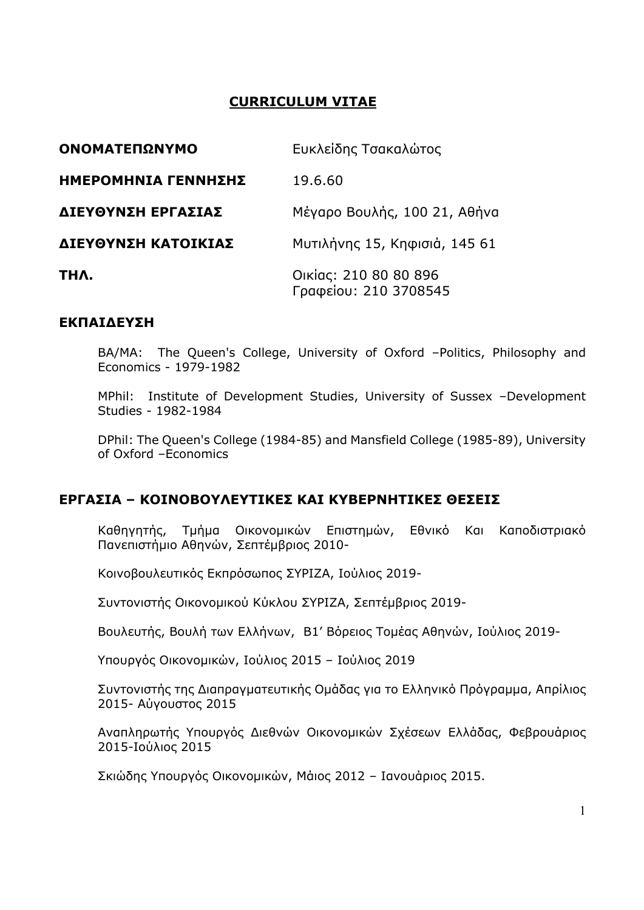# **CURRICULUM VITAE**

| <b>ΟΝΟΜΑΤΕΠΩΝΥΜΟ</b> | Ευκλείδης Τσακαλώτος                           |
|----------------------|------------------------------------------------|
| ΗΜΕΡΟΜΗΝΙΑ ΓΕΝΝΗΣΗΣ  | 19.6.60                                        |
| ΔΙΕΥΘΥΝΣΗ ΕΡΓΑΣΙΑΣ   | Μέγαρο Βουλής, 100 21, Αθήνα                   |
| ΔΙΕΥΘΥΝΣΗ ΚΑΤΟΙΚΙΑΣ  | Μυτιλήνης 15, Κηφισιά, 145 61                  |
| THA.                 | Οικίας: 210 80 80 896<br>Γραφείου: 210 3708545 |

#### **ΕΚΠΑΙΔΕΥΣΗ**

BA/MA: The Queen's College, University of Oxford –Politics, Philosophy and Economics - 1979-1982

MPhil: Institute of Development Studies, University of Sussex –Development Studies - 1982-1984

DPhil: The Queen's College (1984-85) and Mansfield College (1985-89), University of Oxford –Economics

### **ΕΡΓΑΣΙΑ – ΚΟΙΝΟΒΟΥΛΕΥΤΙΚΕΣ ΚΑΙ ΚΥΒΕΡΝΗΤΙΚΕΣ ΘΕΣΕΙΣ**

Καθηγητής, Τµήµα Οικονοµικών Επιστηµών, Εθνικό Και Καποδιστριακό Πανεπιστήµιο Αθηνών, Σεπτέµβριος 2010-

Κοινοβουλευτικός Εκπρόσωπος ΣΥΡΙΖΑ, Ιούλιος 2019-

Συντονιστής Οικονοµικού Κύκλου ΣΥΡΙΖΑ, Σεπτέµβριος 2019-

Βουλευτής, Βουλή των Ελλήνων, Β1' Βόρειος Τοµέας Αθηνών, Ιούλιος 2019-

Υπουργός Οικονοµικών, Ιούλιος 2015 – Ιούλιος 2019

Συντονιστής της Διαπραγµατευτικής Οµάδας για το Ελληνικό Πρόγραµµα, Απρίλιος 2015- Αύγουστος 2015

Αναπληρωτής Υπουργός Διεθνών Οικονοµικών Σχέσεων Ελλάδας, Φεβρουάριος 2015-Ιούλιος 2015

Σκιώδης Υπουργός Οικονοµικών, Μάιος 2012 – Ιανουάριος 2015.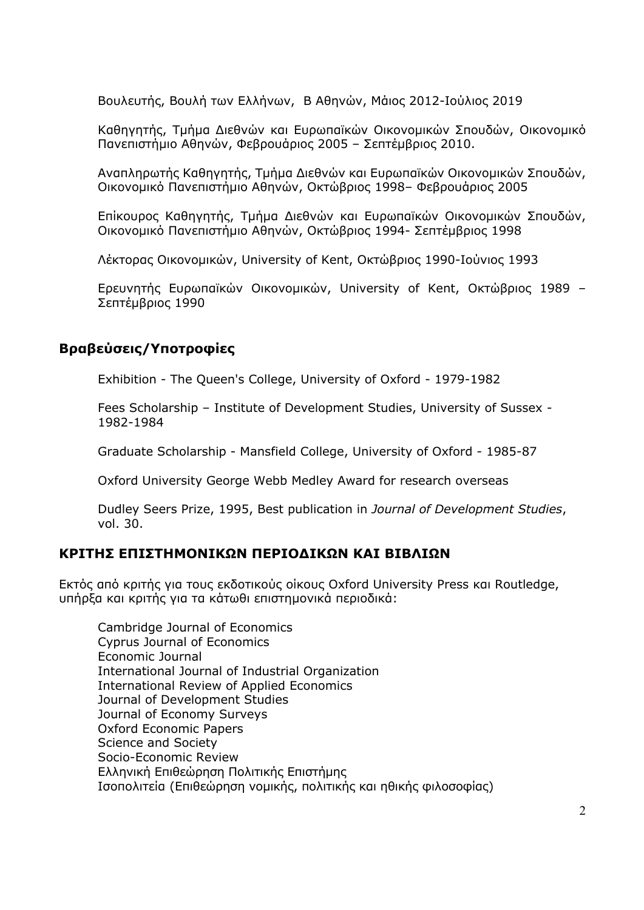Βουλευτής, Βουλή των Ελλήνων, Β Αθηνών, Μάιος 2012-Ιούλιος 2019

Καθηγητής, Τµήµα Διεθνών και Ευρωπαϊκών Οικονοµικών Σπουδών, Οικονοµικό Πανεπιστήµιο Αθηνών, Φεβρουάριος 2005 – Σεπτέµβριος 2010.

Αναπληρωτής Καθηγητής, Τµήµα Διεθνών και Ευρωπαϊκών Οικονοµικών Σπουδών, Οικονοµικό Πανεπιστήµιο Αθηνών, Οκτώβριος 1998– Φεβρουάριος 2005

Επίκουρος Καθηγητής, Τµήµα Διεθνών και Ευρωπαϊκών Οικονοµικών Σπουδών, Οικονοµικό Πανεπιστήµιο Αθηνών, Οκτώβριος 1994- Σεπτέµβριος 1998

Λέκτορας Οικονοµικών, University of Kent, Οκτώβριος 1990-Ιούνιος 1993

Ερευνητής Ευρωπαϊκών Οικονοµικών, University of Kent, Οκτώβριος 1989 – Σεπτέµβριος 1990

## **Βραβεύσεις/Υποτροφίες**

Exhibition - The Queen's College, University of Oxford - 1979-1982

Fees Scholarship – Institute of Development Studies, University of Sussex - 1982-1984

Graduate Scholarship - Mansfield College, University of Oxford - 1985-87

Oxford University George Webb Medley Award for research overseas

Dudley Seers Prize, 1995, Best publication in *Journal of Development Studies*, vol. 30.

## **ΚΡΙΤΗΣ ΕΠΙΣΤΗΜΟΝΙΚΩΝ ΠΕΡΙΟΔΙΚΩΝ ΚΑΙ ΒΙΒΛΙΩΝ**

Εκτός από κριτής για τους εκδοτικούς οίκους Oxford University Press και Routledge, υπήρξα και κριτής για τα κάτωθι επιστηµονικά περιοδικά:

Cambridge Journal of Economics Cyprus Journal of Economics Economic Journal International Journal of Industrial Organization International Review of Applied Economics Journal of Development Studies Journal of Economy Surveys Oxford Economic Papers Science and Society Socio-Economic Review Ελληνική Επιθεώρηση Πολιτικής Επιστήµης Ισοπολιτεία (Επιθεώρηση νοµικής, πολιτικής και ηθικής φιλοσοφίας)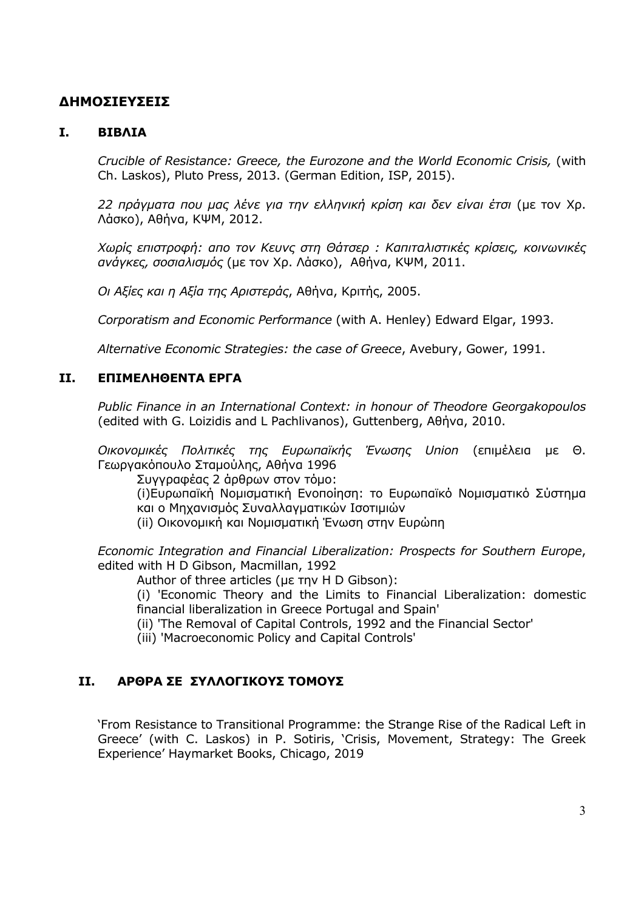# **ΔΗΜΟΣΙΕΥΣΕΙΣ**

### **I. ΒΙΒΛΙΑ**

*Crucible of Resistance: Greece, the Eurozone and the World Economic Crisis,* (with Ch. Laskos), Pluto Press, 2013. (German Edition, ISP, 2015).

*22 πράγµατα που µας λένε για την ελληνική κρίση και δεν είναι έτσι* (µε τον Χρ. Λάσκο), Αθήνα, ΚΨΜ, 2012.

*Χωρίς επιστροφή: απο τον Κευνς στη Θάτσερ : Καπιταλιστικές κρίσεις, κοινωνικές ανάγκες, σοσιαλισµός* (µε τον Χρ. Λάσκο), Αθήνα, ΚΨΜ, 2011.

*Οι Αξίες και η Αξία της Αριστεράς*, Αθήνα, Κριτής, 2005.

*Corporatism and Economic Performance* (with A. Henley) Edward Elgar, 1993.

*Alternative Economic Strategies: the case of Greece*, Avebury, Gower, 1991.

#### **II. ΕΠΙΜΕΛΗΘΕΝΤΑ ΕΡΓΑ**

*Public Finance in an International Context: in honour of Theodore Georgakopoulos*  (edited with G. Loizidis and L Pachlivanos), Guttenberg, Αθήνα, 2010.

*Οικονοµικές Πολιτικές της Ευρωπαϊκής Ένωσης Union* (επιµέλεια µε Θ. Γεωργακόπουλο Σταµούλης, Αθήνα 1996

Συγγραφέας 2 άρθρων στον τόµο:

(i)Ευρωπαϊκή Νοµισµατική Ενοποίηση: το Ευρωπαϊκό Νοµισµατικό Σύστηµα και ο Μηχανισµός Συναλλαγµατικών Ισοτιµιών

(ii) Οικονοµική και Νοµισµατική Ένωση στην Ευρώπη

*Economic Integration and Financial Liberalization: Prospects for Southern Europe*, edited with H D Gibson, Macmillan, 1992

Author of three articles (µε την H D Gibson):

(i) 'Economic Theory and the Limits to Financial Liberalization: domestic financial liberalization in Greece Portugal and Spain'

(ii) 'The Removal of Capital Controls, 1992 and the Financial Sector'

(iii) 'Macroeconomic Policy and Capital Controls'

### **II. ΑΡΘΡΑ ΣΕ ΣΥΛΛΟΓΙΚΟΥΣ ΤΟΜΟΥΣ**

'From Resistance to Transitional Programme: the Strange Rise of the Radical Left in Greece' (with C. Laskos) in P. Sotiris, 'Crisis, Movement, Strategy: The Greek Experience' Haymarket Books, Chicago, 2019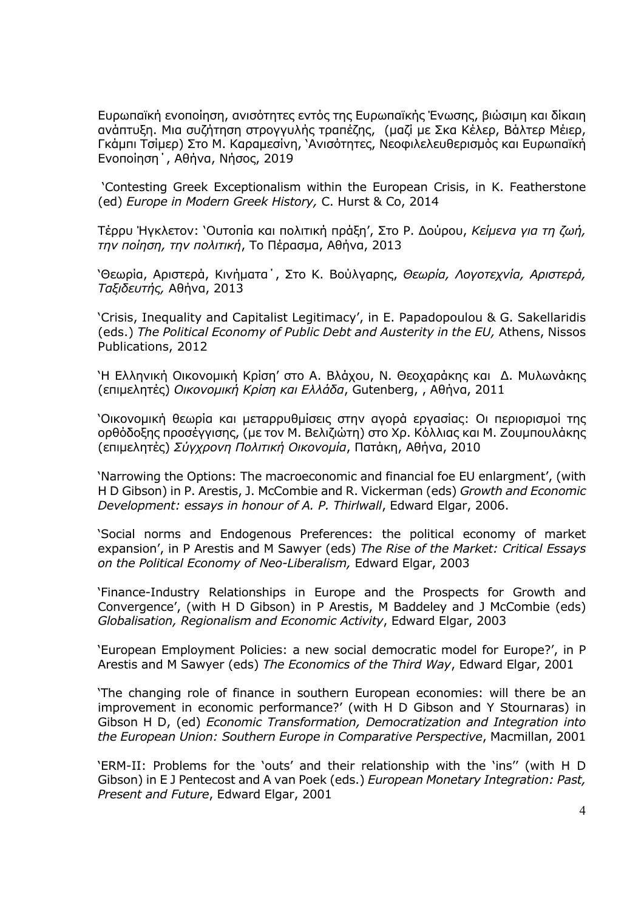Ευρωπαϊκή ενοποίηση, ανισότητες εντός της Ευρωπαϊκής Ένωσης, βιώσιµη και δίκαιη ανάπτυξη. Μια συζήτηση στρογγυλής τραπέζης, (µαζί µε Σκα Κέλερ, Βάλτερ Μέιερ, Γκάµπι Τσίµερ) Στο Μ. Καραµεσίνη, 'Ανισότητες, Νεοφιλελευθερισµός και Ευρωπαϊκή Ενοποίηση΄, Αθήνα, Νήσος, 2019

'Contesting Greek Exceptionalism within the European Crisis, in K. Featherstone (ed) *Europe in Modern Greek History,* C. Hurst & Co, 2014

Τέρρυ Ήγκλετον: 'Ουτοπία και πολιτική πράξη', Στο Ρ. Δούρου, *Κείµενα για τη ζωή, την ποίηση, την πολιτική*, Το Πέρασµα, Αθήνα, 2013

'Θεωρία, Αριστερά, Κινήµατα΄, Στο Κ. Βούλγαρης, *Θεωρία, Λογοτεχνία, Αριστερά, Ταξιδευτής,* Αθήνα, 2013

'Crisis, Inequality and Capitalist Legitimacy', in E. Papadopoulou & G. Sakellaridis (eds.) *The Political Economy of Public Debt and Austerity in the EU,* Athens, Nissos Publications, 2012

'Η Ελληνική Οικονοµική Κρίση' στο Α. Βλάχου, Ν. Θεοχαράκης και Δ. Μυλωνάκης (επιµελητές) *Οικονοµική Κρίση και Ελλάδα*, Gutenberg, , Αθήνα, 2011

'Οικονοµική θεωρία και µεταρρυθµίσεις στην αγορά εργασίας: Οι περιορισµοί της ορθόδοξης προσέγγισης, (µε τον Μ. Βελιζιώτη) στο Χρ. Κόλλιας και Μ. Ζουµπουλάκης (επιµελητές) *Σύγχρονη Πολιτική Οικονοµία*, Πατάκη, Αθήνα, 2010

'Narrowing the Options: The macroeconomic and financial foe EU enlargment', (with H D Gibson) in P. Arestis, J. McCombie and R. Vickerman (eds) *Growth and Economic Development: essays in honour of A. P. Thirlwall*, Edward Elgar, 2006.

'Social norms and Endogenous Preferences: the political economy of market expansion', in P Arestis and M Sawyer (eds) *The Rise of the Market: Critical Essays on the Political Economy of Neo-Liberalism,* Edward Elgar, 2003

'Finance-Industry Relationships in Europe and the Prospects for Growth and Convergence', (with H D Gibson) in P Arestis, M Baddeley and J McCombie (eds) *Globalisation, Regionalism and Economic Activity*, Edward Elgar, 2003

'European Employment Policies: a new social democratic model for Europe?', in P Arestis and M Sawyer (eds) *The Economics of the Third Way*, Edward Elgar, 2001

'The changing role of finance in southern European economies: will there be an improvement in economic performance?' (with H D Gibson and Y Stournaras) in Gibson H D, (ed) *Economic Transformation, Democratization and Integration into the European Union: Southern Europe in Comparative Perspective*, Macmillan, 2001

'ERM-II: Problems for the 'outs' and their relationship with the 'ins'' (with H D Gibson) in E J Pentecost and A van Poek (eds.) *European Monetary Integration: Past, Present and Future*, Edward Elgar, 2001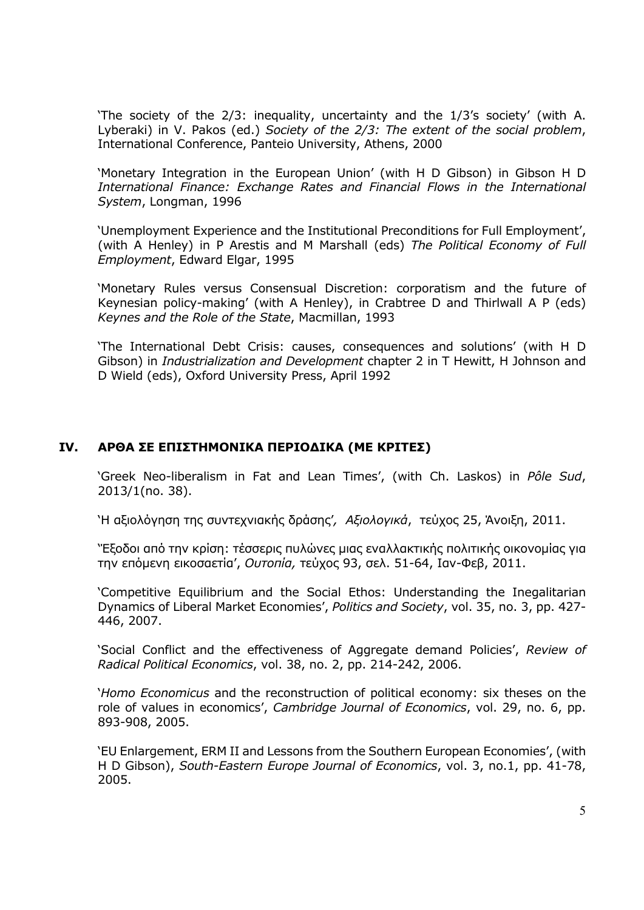'The society of the 2/3: inequality, uncertainty and the 1/3's society' (with A. Lyberaki) in V. Pakos (ed.) *Society of the 2/3: The extent of the social problem*, International Conference, Panteio University, Athens, 2000

'Monetary Integration in the European Union' (with H D Gibson) in Gibson H D *International Finance: Exchange Rates and Financial Flows in the International System*, Longman, 1996

'Unemployment Experience and the Institutional Preconditions for Full Employment', (with A Henley) in P Arestis and M Marshall (eds) *The Political Economy of Full Employment*, Edward Elgar, 1995

'Monetary Rules versus Consensual Discretion: corporatism and the future of Keynesian policy-making' (with A Henley), in Crabtree D and Thirlwall A P (eds) *Keynes and the Role of the State*, Macmillan, 1993

'The International Debt Crisis: causes, consequences and solutions' (with H D Gibson) in *Industrialization and Development* chapter 2 in T Hewitt, H Johnson and D Wield (eds), Oxford University Press, April 1992

#### **IV. ΑΡΘΑ ΣΕ ΕΠΙΣΤΗΜΟΝΙΚΑ ΠΕΡΙΟΔΙΚΑ (ΜΕ ΚΡΙΤΕΣ)**

'Greek Neo-liberalism in Fat and Lean Times', (with Ch. Laskos) in *Pôle Sud*, 2013/1(no. 38).

'Η αξιολόγηση της συντεχνιακής δράσης'*, Αξιολογικά*, τεύχος 25, Άνοιξη, 2011.

'Έξοδοι από την κρίση: τέσσερις πυλώνες µιας εναλλακτικής πολιτικής οικονοµίας για την επόµενη εικοσαετία', *Ουτοπία,* τεύχος 93, σελ. 51-64, Ιαν-Φεβ, 2011.

'Competitive Equilibrium and the Social Ethos: Understanding the Inegalitarian Dynamics of Liberal Market Economies', *Politics and Society*, vol. 35, no. 3, pp. 427- 446, 2007.

'Social Conflict and the effectiveness of Aggregate demand Policies', *Review of Radical Political Economics*, vol. 38, no. 2, pp. 214-242, 2006.

'*Homo Economicus* and the reconstruction of political economy: six theses on the role of values in economics', *Cambridge Journal of Economics*, vol. 29, no. 6, pp. 893-908, 2005.

'EU Enlargement, ERM II and Lessons from the Southern European Economies', (with H D Gibson), *South-Eastern Europe Journal of Economics*, vol. 3, no.1, pp. 41-78, 2005.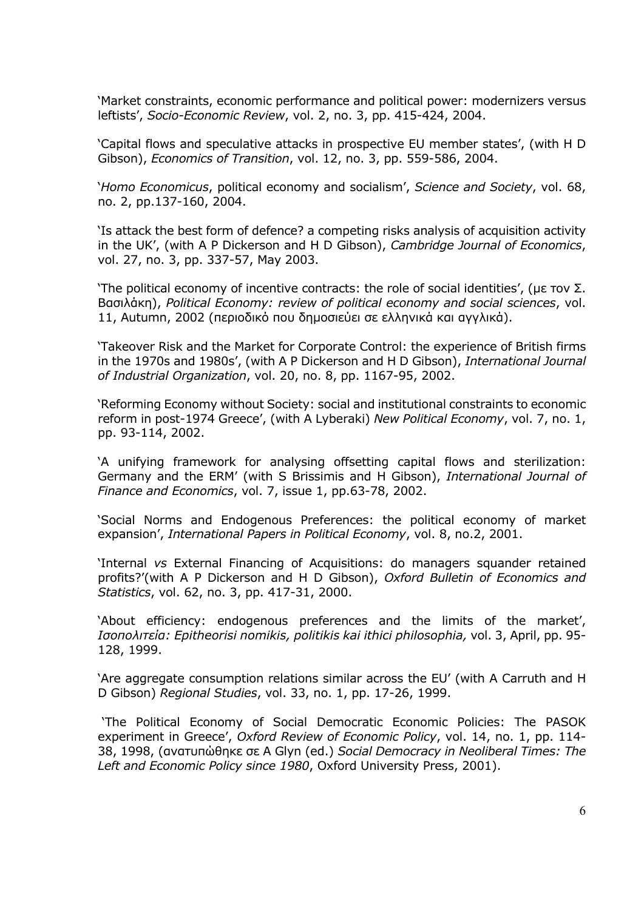'Market constraints, economic performance and political power: modernizers versus leftists', *Socio-Economic Review*, vol. 2, no. 3, pp. 415-424, 2004.

'Capital flows and speculative attacks in prospective EU member states', (with H D Gibson), *Economics of Transition*, vol. 12, no. 3, pp. 559-586, 2004.

'*Homo Economicus*, political economy and socialism', *Science and Society*, vol. 68, no. 2, pp.137-160, 2004.

'Is attack the best form of defence? a competing risks analysis of acquisition activity in the UK', (with A P Dickerson and H D Gibson), *Cambridge Journal of Economics*, vol. 27, no. 3, pp. 337-57, May 2003.

'The political economy of incentive contracts: the role of social identities', (με τον Σ. Βασιλάκη), *Political Economy: review of political economy and social sciences*, vol. 11, Autumn, 2002 (περιοδικό που δηµοσιεύει σε ελληνικά και αγγλικά).

'Takeover Risk and the Market for Corporate Control: the experience of British firms in the 1970s and 1980s', (with A P Dickerson and H D Gibson), *International Journal of Industrial Organization*, vol. 20, no. 8, pp. 1167-95, 2002.

'Reforming Economy without Society: social and institutional constraints to economic reform in post-1974 Greece', (with A Lyberaki) *New Political Economy*, vol. 7, no. 1, pp. 93-114, 2002.

'A unifying framework for analysing offsetting capital flows and sterilization: Germany and the ERM' (with S Brissimis and H Gibson), *International Journal of Finance and Economics*, vol. 7, issue 1, pp.63-78, 2002.

'Social Norms and Endogenous Preferences: the political economy of market expansion', *International Papers in Political Economy*, vol. 8, no.2, 2001.

'Internal *vs* External Financing of Acquisitions: do managers squander retained profits?'(with A P Dickerson and H D Gibson), *Oxford Bulletin of Economics and Statistics*, vol. 62, no. 3, pp. 417-31, 2000.

'About efficiency: endogenous preferences and the limits of the market', *Ισοπολιτεία: Epitheorisi nomikis, politikis kai ithici philosophia,* vol. 3, April, pp. 95- 128, 1999.

'Are aggregate consumption relations similar across the EU' (with A Carruth and H D Gibson) *Regional Studies*, vol. 33, no. 1, pp. 17-26, 1999.

'The Political Economy of Social Democratic Economic Policies: The PASOK experiment in Greece', *Oxford Review of Economic Policy*, vol. 14, no. 1, pp. 114- 38, 1998, (ανατυπώθηκε σε A Glyn (ed.) *Social Democracy in Neoliberal Times: The Left and Economic Policy since 1980*, Oxford University Press, 2001).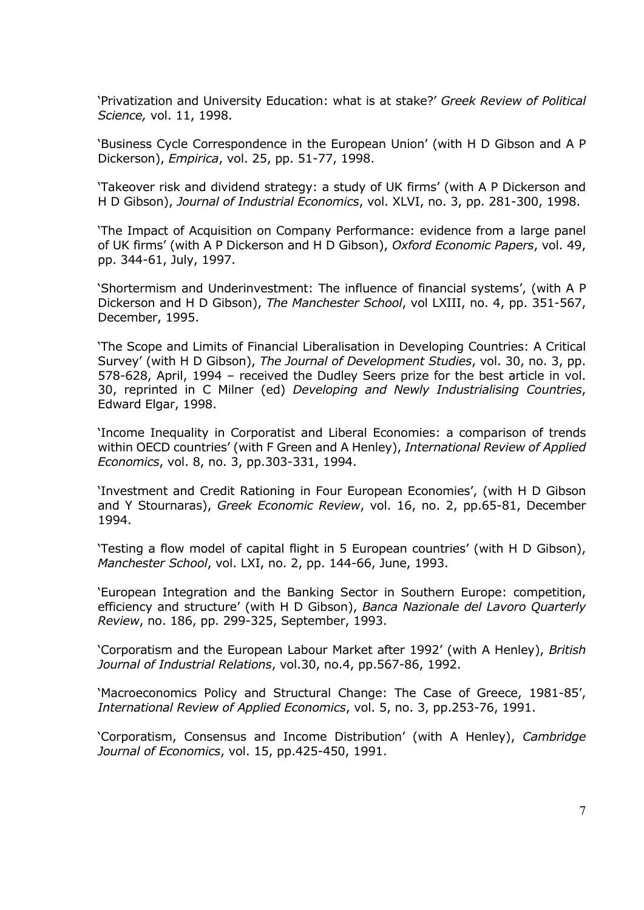'Privatization and University Education: what is at stake?' *Greek Review of Political Science,* vol. 11, 1998.

'Business Cycle Correspondence in the European Union' (with H D Gibson and A P Dickerson), *Empirica*, vol. 25, pp. 51-77, 1998.

'Takeover risk and dividend strategy: a study of UK firms' (with A P Dickerson and H D Gibson), *Journal of Industrial Economics*, vol. XLVI, no. 3, pp. 281-300, 1998.

'The Impact of Acquisition on Company Performance: evidence from a large panel of UK firms' (with A P Dickerson and H D Gibson), *Oxford Economic Papers*, vol. 49, pp. 344-61, July, 1997.

'Shortermism and Underinvestment: The influence of financial systems', (with A P Dickerson and H D Gibson), *The Manchester School*, vol LXIII, no. 4, pp. 351-567, December, 1995.

'The Scope and Limits of Financial Liberalisation in Developing Countries: A Critical Survey' (with H D Gibson), *The Journal of Development Studies*, vol. 30, no. 3, pp. 578-628, April, 1994 – received the Dudley Seers prize for the best article in vol. 30, reprinted in C Milner (ed) *Developing and Newly Industrialising Countries*, Edward Elgar, 1998.

'Income Inequality in Corporatist and Liberal Economies: a comparison of trends within OECD countries' (with F Green and A Henley), *International Review of Applied Economics*, vol. 8, no. 3, pp.303-331, 1994.

'Investment and Credit Rationing in Four European Economies', (with H D Gibson and Y Stournaras), *Greek Economic Review*, vol. 16, no. 2, pp.65-81, December 1994.

'Testing a flow model of capital flight in 5 European countries' (with H D Gibson), *Manchester School*, vol. LXI, no. 2, pp. 144-66, June, 1993.

'European Integration and the Banking Sector in Southern Europe: competition, efficiency and structure' (with H D Gibson), *Banca Nazionale del Lavoro Quarterly Review*, no. 186, pp. 299-325, September, 1993.

'Corporatism and the European Labour Market after 1992' (with A Henley), *British Journal of Industrial Relations*, vol.30, no.4, pp.567-86, 1992.

'Macroeconomics Policy and Structural Change: The Case of Greece, 1981-85', *International Review of Applied Economics*, vol. 5, no. 3, pp.253-76, 1991.

'Corporatism, Consensus and Income Distribution' (with A Henley), *Cambridge Journal of Economics*, vol. 15, pp.425-450, 1991.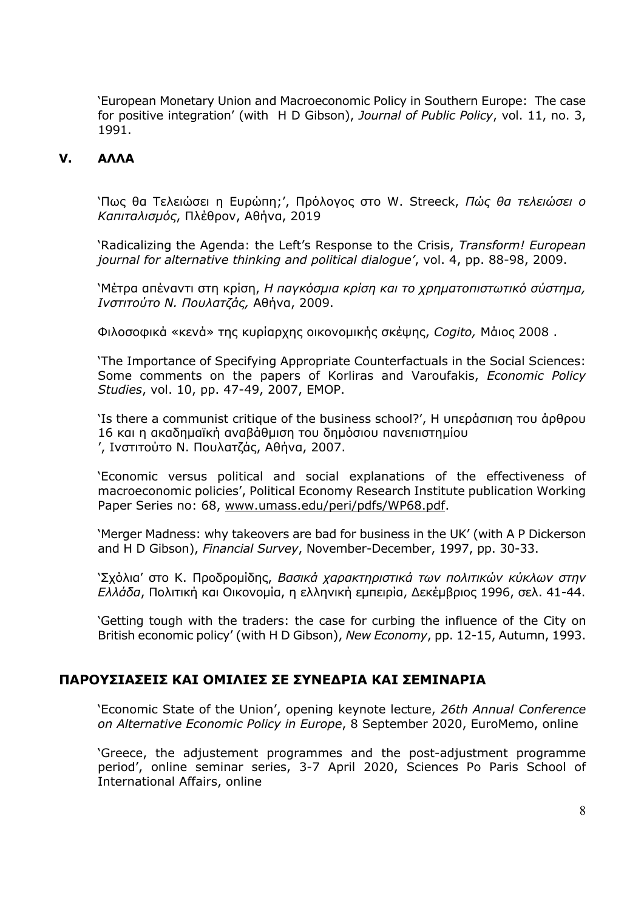'European Monetary Union and Macroeconomic Policy in Southern Europe: The case for positive integration' (with H D Gibson), *Journal of Public Policy*, vol. 11, no. 3, 1991.

### **V. ΑΛΛΑ**

'Πως θα Τελειώσει η Ευρώπη;', Πρόλογος στο W. Streeck, *Πώς θα τελειώσει ο Καπιταλισµός*, Πλέθρον, Αθήνα, 2019

'Radicalizing the Agenda: the Left's Response to the Crisis, *Transform! European journal for alternative thinking and political dialogue'*, vol. 4, pp. 88-98, 2009.

'Μέτρα απέναντι στη κρίση, *Η παγκόσµια κρίση και το χρηµατοπιστωτικό σύστηµα, Ινστιτούτο Ν. Πουλατζάς,* Αθήνα, 2009.

Φιλοσοφικά «κενά» της κυρίαρχης οικονοµικής σκέψης, *Cogito,* Μάιος 2008 .

'The Importance of Specifying Appropriate Counterfactuals in the Social Sciences: Some comments on the papers of Korliras and Varoufakis, *Economic Policy Studies*, vol. 10, pp. 47-49, 2007, EMOP.

'Is there a communist critique of the business school?', Η υπεράσπιση του άρθρου 16 και η ακαδηµαϊκή αναβάθµιση του δηµόσιου πανεπιστηµίου ', Ινστιτούτο Ν. Πουλατζάς, Αθήνα, 2007.

'Economic versus political and social explanations of the effectiveness of macroeconomic policies', Political Economy Research Institute publication Working Paper Series no: 68, www.umass.edu/peri/pdfs/WP68.pdf.

'Merger Madness: why takeovers are bad for business in the UK' (with A P Dickerson and H D Gibson), *Financial Survey*, November-December, 1997, pp. 30-33.

'Σχόλια' στο Κ. Προδροµίδης, *Βασικά χαρακτηριστικά των πολιτικών κύκλων στην Ελλάδα*, Πολιτική και Οικονοµία, η ελληνική εµπειρία, Δεκέµβριος 1996, σελ. 41-44.

'Getting tough with the traders: the case for curbing the influence of the City on British economic policy' (with H D Gibson), *New Economy*, pp. 12-15, Autumn, 1993.

## **ΠΑΡΟΥΣΙΑΣΕΙΣ ΚΑΙ ΟΜΙΛΙΕΣ ΣΕ ΣΥΝΕΔΡΙΑ ΚΑΙ ΣΕΜΙΝΑΡΙΑ**

'Economic State of the Union', opening keynote lecture, *26th Annual Conference on Alternative Economic Policy in Europe*, 8 September 2020, EuroMemo, online

'Greece, the adjustement programmes and the post-adjustment programme period', online seminar series, 3-7 April 2020, Sciences Po Paris School of International Affairs, online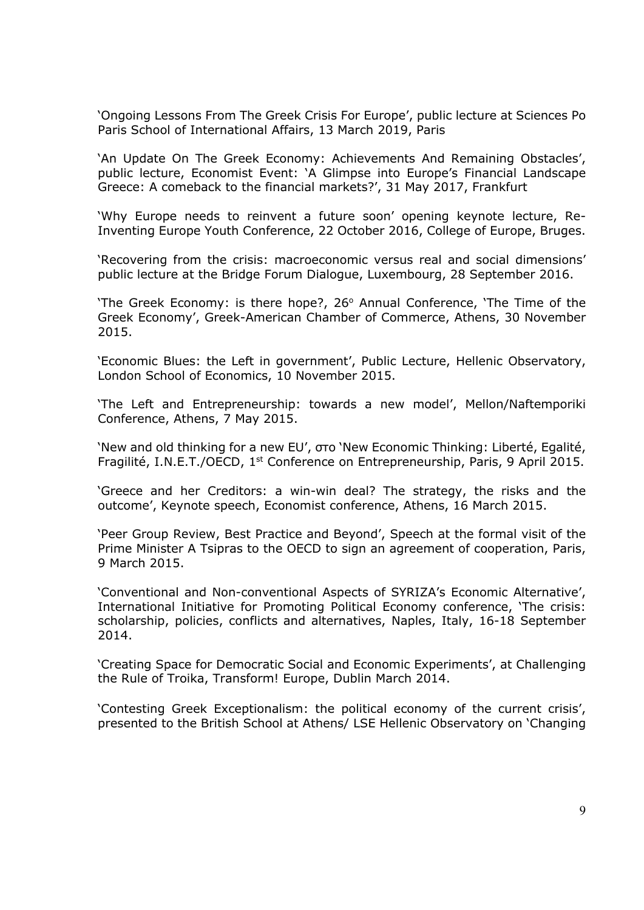'Ongoing Lessons From The Greek Crisis For Europe', public lecture at Sciences Po Paris School of International Affairs, 13 March 2019, Paris

'An Update On The Greek Economy: Achievements And Remaining Obstacles', public lecture, Economist Event: 'A Glimpse into Europe's Financial Landscape Greece: A comeback to the financial markets?', 31 May 2017, Frankfurt

'Why Europe needs to reinvent a future soon' opening keynote lecture, Re-Inventing Europe Youth Conference, 22 October 2016, College of Europe, Bruges.

'Recovering from the crisis: macroeconomic versus real and social dimensions' public lecture at the Bridge Forum Dialogue, Luxembourg, 28 September 2016.

'The Greek Economy: is there hope?, 26° Annual Conference, 'The Time of the Greek Economy', Greek-American Chamber of Commerce, Athens, 30 November 2015.

'Economic Blues: the Left in government', Public Lecture, Hellenic Observatory, London School of Economics, 10 November 2015.

'The Left and Entrepreneurship: towards a new model', Mellon/Naftemporiki Conference, Athens, 7 May 2015.

'New and old thinking for a new EU', στο 'New Economic Thinking: Liberté, Egalité, Fragilité, I.N.E.T./OECD, 1<sup>st</sup> Conference on Entrepreneurship, Paris, 9 April 2015.

'Greece and her Creditors: a win-win deal? The strategy, the risks and the outcome', Keynote speech, Economist conference, Athens, 16 March 2015.

'Peer Group Review, Best Practice and Beyond', Speech at the formal visit of the Prime Minister A Tsipras to the OECD to sign an agreement of cooperation, Paris, 9 March 2015.

'Conventional and Non-conventional Aspects of SYRIZA's Economic Alternative', International Initiative for Promoting Political Economy conference, 'The crisis: scholarship, policies, conflicts and alternatives, Naples, Italy, 16-18 September 2014.

'Creating Space for Democratic Social and Economic Experiments', at Challenging the Rule of Troika, Transform! Europe, Dublin March 2014.

'Contesting Greek Exceptionalism: the political economy of the current crisis', presented to the British School at Athens/ LSE Hellenic Observatory on 'Changing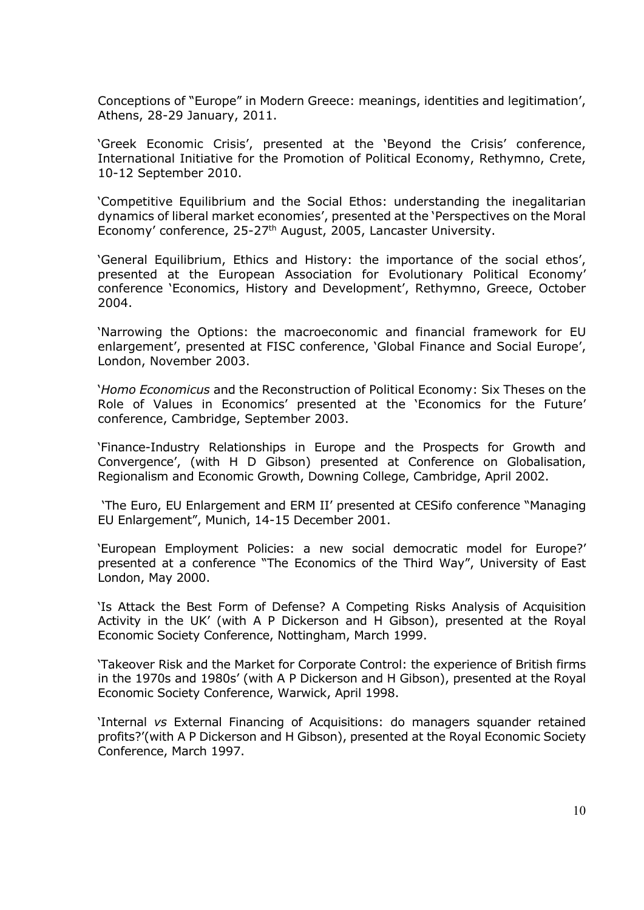Conceptions of "Europe" in Modern Greece: meanings, identities and legitimation', Athens, 28-29 January, 2011.

'Greek Economic Crisis', presented at the 'Beyond the Crisis' conference, International Initiative for the Promotion of Political Economy, Rethymno, Crete, 10-12 September 2010.

'Competitive Equilibrium and the Social Ethos: understanding the inegalitarian dynamics of liberal market economies', presented at the 'Perspectives on the Moral Economy' conference, 25-27<sup>th</sup> August, 2005, Lancaster University.

'General Equilibrium, Ethics and History: the importance of the social ethos', presented at the European Association for Evolutionary Political Economy' conference 'Economics, History and Development', Rethymno, Greece, October 2004.

'Narrowing the Options: the macroeconomic and financial framework for EU enlargement', presented at FISC conference, 'Global Finance and Social Europe', London, November 2003.

'*Homo Economicus* and the Reconstruction of Political Economy: Six Theses on the Role of Values in Economics' presented at the 'Economics for the Future' conference, Cambridge, September 2003.

'Finance-Industry Relationships in Europe and the Prospects for Growth and Convergence', (with H D Gibson) presented at Conference on Globalisation, Regionalism and Economic Growth, Downing College, Cambridge, April 2002.

'The Euro, EU Enlargement and ERM II' presented at CESifo conference "Managing EU Enlargement", Munich, 14-15 December 2001.

'European Employment Policies: a new social democratic model for Europe?' presented at a conference "The Economics of the Third Way", University of East London, May 2000.

'Is Attack the Best Form of Defense? A Competing Risks Analysis of Acquisition Activity in the UK' (with A P Dickerson and H Gibson), presented at the Royal Economic Society Conference, Nottingham, March 1999.

'Takeover Risk and the Market for Corporate Control: the experience of British firms in the 1970s and 1980s' (with A P Dickerson and H Gibson), presented at the Royal Economic Society Conference, Warwick, April 1998.

'Internal *vs* External Financing of Acquisitions: do managers squander retained profits?'(with A P Dickerson and H Gibson), presented at the Royal Economic Society Conference, March 1997.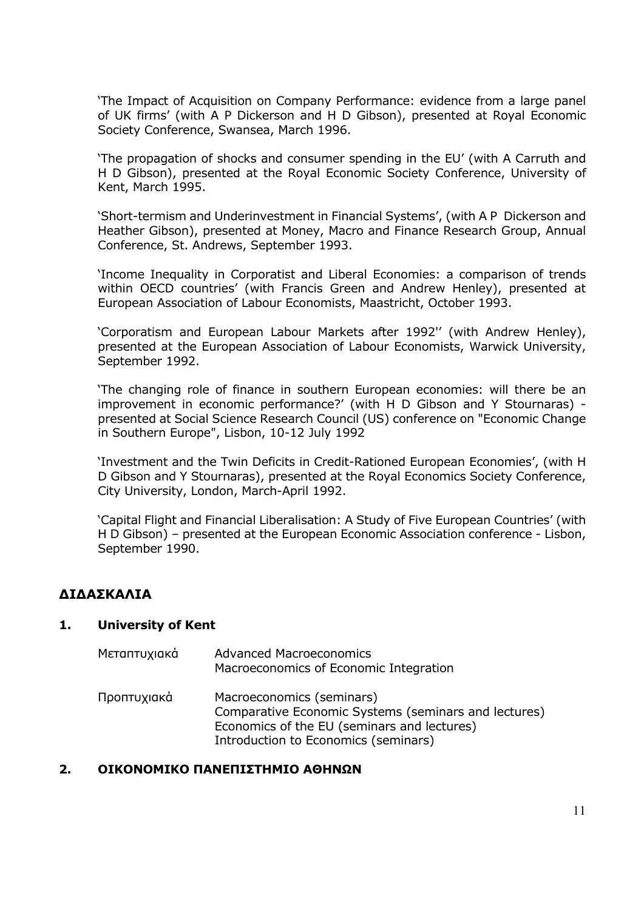'The Impact of Acquisition on Company Performance: evidence from a large panel of UK firms' (with A P Dickerson and H D Gibson), presented at Royal Economic Society Conference, Swansea, March 1996.

'The propagation of shocks and consumer spending in the EU' (with A Carruth and H D Gibson), presented at the Royal Economic Society Conference, University of Kent, March 1995.

'Short-termism and Underinvestment in Financial Systems', (with A P Dickerson and Heather Gibson), presented at Money, Macro and Finance Research Group, Annual Conference, St. Andrews, September 1993.

'Income Inequality in Corporatist and Liberal Economies: a comparison of trends within OECD countries' (with Francis Green and Andrew Henley), presented at European Association of Labour Economists, Maastricht, October 1993.

'Corporatism and European Labour Markets after 1992'' (with Andrew Henley), presented at the European Association of Labour Economists, Warwick University, September 1992.

'The changing role of finance in southern European economies: will there be an improvement in economic performance?' (with H D Gibson and Y Stournaras) presented at Social Science Research Council (US) conference on "Economic Change in Southern Europe", Lisbon, 10-12 July 1992

'Investment and the Twin Deficits in Credit-Rationed European Economies', (with H D Gibson and Y Stournaras), presented at the Royal Economics Society Conference, City University, London, March-April 1992.

'Capital Flight and Financial Liberalisation: A Study of Five European Countries' (with H D Gibson) – presented at the European Economic Association conference - Lisbon, September 1990.

## **ΔΙΔΑΣΚΑΛΙΑ**

#### **1. University of Kent**

| Μεταπτυχιακά | <b>Advanced Macroeconomics</b><br>Macroeconomics of Economic Integration                                                                                                 |
|--------------|--------------------------------------------------------------------------------------------------------------------------------------------------------------------------|
| Προπτυχιακά  | Macroeconomics (seminars)<br>Comparative Economic Systems (seminars and lectures)<br>Economics of the EU (seminars and lectures)<br>Introduction to Economics (seminars) |

#### **2. ΟΙΚΟΝΟΜΙΚΟ ΠΑΝΕΠΙΣΤΗΜΙΟ ΑΘΗΝΩΝ**